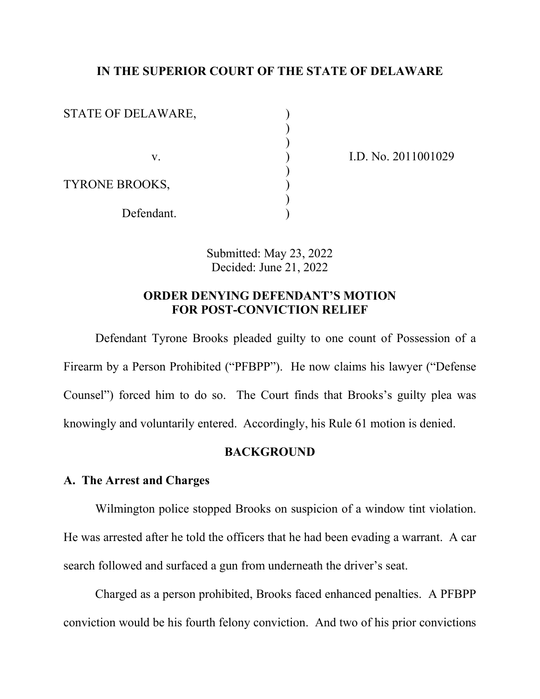## **IN THE SUPERIOR COURT OF THE STATE OF DELAWARE**

| STATE OF DELAWARE,    |  |
|-----------------------|--|
|                       |  |
|                       |  |
| V.                    |  |
|                       |  |
| <b>TYRONE BROOKS,</b> |  |
|                       |  |
| Defendant.            |  |

v. ) I.D. No. 2011001029

Submitted: May 23, 2022 Decided: June 21, 2022

## **ORDER DENYING DEFENDANT'S MOTION FOR POST-CONVICTION RELIEF**

Defendant Tyrone Brooks pleaded guilty to one count of Possession of a Firearm by a Person Prohibited ("PFBPP"). He now claims his lawyer ("Defense Counsel") forced him to do so. The Court finds that Brooks's guilty plea was knowingly and voluntarily entered. Accordingly, his Rule 61 motion is denied.

### **BACKGROUND**

### **A. The Arrest and Charges**

Wilmington police stopped Brooks on suspicion of a window tint violation. He was arrested after he told the officers that he had been evading a warrant. A car search followed and surfaced a gun from underneath the driver's seat.

Charged as a person prohibited, Brooks faced enhanced penalties. A PFBPP conviction would be his fourth felony conviction. And two of his prior convictions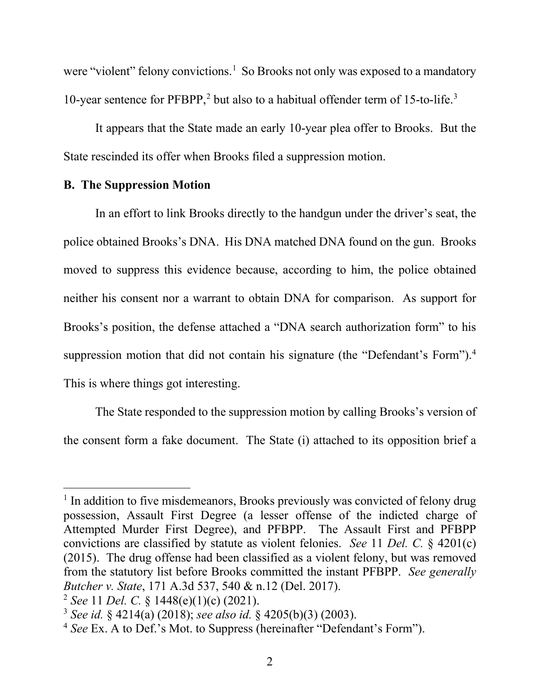were "violent" felony convictions.<sup>[1](#page-1-0)</sup> So Brooks not only was exposed to a mandatory 10-year sentence for PFBPP, [2](#page-1-1) but also to a habitual offender term of 15-to-life. [3](#page-1-2)

It appears that the State made an early 10-year plea offer to Brooks. But the State rescinded its offer when Brooks filed a suppression motion.

### **B. The Suppression Motion**

In an effort to link Brooks directly to the handgun under the driver's seat, the police obtained Brooks's DNA. His DNA matched DNA found on the gun. Brooks moved to suppress this evidence because, according to him, the police obtained neither his consent nor a warrant to obtain DNA for comparison. As support for Brooks's position, the defense attached a "DNA search authorization form" to his suppression motion that did not contain his signature (the "Defendant's Form").<sup>4</sup> This is where things got interesting.

The State responded to the suppression motion by calling Brooks's version of the consent form a fake document. The State (i) attached to its opposition brief a

<span id="page-1-0"></span><sup>&</sup>lt;sup>1</sup> In addition to five misdemeanors, Brooks previously was convicted of felony drug possession, Assault First Degree (a lesser offense of the indicted charge of Attempted Murder First Degree), and PFBPP. The Assault First and PFBPP convictions are classified by statute as violent felonies. *See* 11 *Del. C.* § 4201(c) (2015). The drug offense had been classified as a violent felony, but was removed from the statutory list before Brooks committed the instant PFBPP. *See generally Butcher v. State*, 171 A.3d 537, 540 & n.12 (Del. 2017). 2 *See* 11 *Del. C.* § 1448(e)(1)(c) (2021).

<span id="page-1-1"></span>

<span id="page-1-2"></span><sup>3</sup> *See id.* § 4214(a) (2018); *see also id.* § 4205(b)(3) (2003).

<span id="page-1-3"></span><sup>4</sup> *See* Ex. A to Def.'s Mot. to Suppress (hereinafter "Defendant's Form").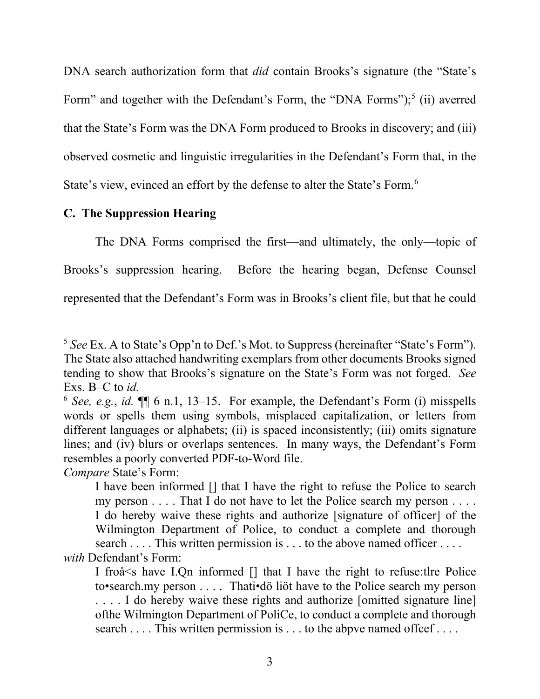DNA search authorization form that *did* contain Brooks's signature (the "State's Form" and together with the Defendant's Form, the "DNA Forms");<sup>[5](#page-2-0)</sup> (ii) averred that the State's Form was the DNA Form produced to Brooks in discovery; and (iii) observed cosmetic and linguistic irregularities in the Defendant's Form that, in the State's view, evinced an effort by the defense to alter the State's Form. [6](#page-2-1)

## **C. The Suppression Hearing**

The DNA Forms comprised the first—and ultimately, the only—topic of Brooks's suppression hearing. Before the hearing began, Defense Counsel represented that the Defendant's Form was in Brooks's client file, but that he could

*Compare* State's Form:

<span id="page-2-0"></span><sup>5</sup> *See* Ex. A to State's Opp'n to Def.'s Mot. to Suppress (hereinafter "State's Form"). The State also attached handwriting exemplars from other documents Brooks signed tending to show that Brooks's signature on the State's Form was not forged. *See*  Exs. B–C to *id.*

<span id="page-2-1"></span> $6$  *See, e.g., id.*  $\P$  $\left[6 \text{ n.1, } 13-15. \right]$  For example, the Defendant's Form (i) misspells words or spells them using symbols, misplaced capitalization, or letters from different languages or alphabets; (ii) is spaced inconsistently; (iii) omits signature lines; and (iv) blurs or overlaps sentences. In many ways, the Defendant's Form resembles a poorly converted PDF-to-Word file.

I have been informed [] that I have the right to refuse the Police to search my person . . . . That I do not have to let the Police search my person . . . . I do hereby waive these rights and authorize [signature of officer] of the Wilmington Department of Police, to conduct a complete and thorough search . . . . This written permission is . . . to the above named officer . . . . *with* Defendant's Form:

I froå<s have I.Qn informed [] that I have the right to refuse:tlre Police to•search.my person . . . . Thati•dö liöt have to the Police search my person . . . . I do hereby waive these rights and authorize [omitted signature line] ofthe Wilmington Department of PoliCe, to conduct a complete and thorough search . . . . This written permission is . . . to the abpve named offcef . . . .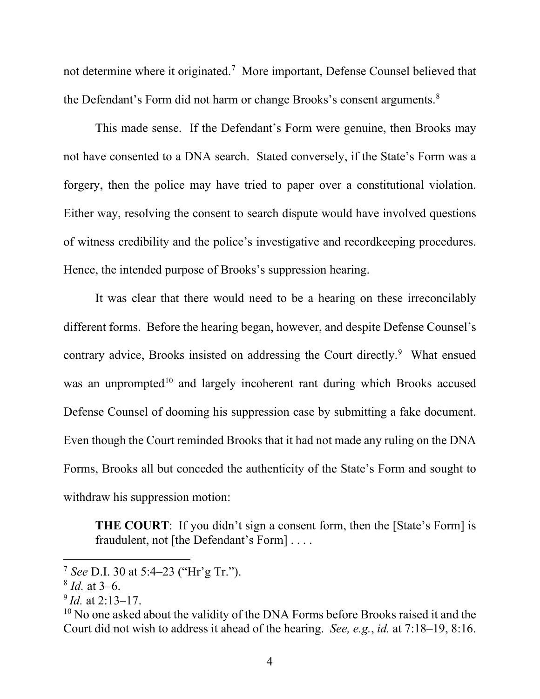not determine where it originated.<sup>[7](#page-3-0)</sup> More important, Defense Counsel believed that the Defendant's Form did not harm or change Brooks's consent arguments.<sup>[8](#page-3-1)</sup>

This made sense. If the Defendant's Form were genuine, then Brooks may not have consented to a DNA search. Stated conversely, if the State's Form was a forgery, then the police may have tried to paper over a constitutional violation. Either way, resolving the consent to search dispute would have involved questions of witness credibility and the police's investigative and recordkeeping procedures. Hence, the intended purpose of Brooks's suppression hearing.

It was clear that there would need to be a hearing on these irreconcilably different forms. Before the hearing began, however, and despite Defense Counsel's contrary advice, Brooks insisted on addressing the Court directly.<sup>[9](#page-3-2)</sup> What ensued was an unprompted<sup>[10](#page-3-3)</sup> and largely incoherent rant during which Brooks accused Defense Counsel of dooming his suppression case by submitting a fake document. Even though the Court reminded Brooks that it had not made any ruling on the DNA Forms, Brooks all but conceded the authenticity of the State's Form and sought to withdraw his suppression motion:

**THE COURT:** If you didn't sign a consent form, then the [State's Form] is fraudulent, not [the Defendant's Form] . . . .

<span id="page-3-0"></span><sup>7</sup> *See* D.I. 30 at 5:4–23 ("Hr'g Tr.").

<span id="page-3-1"></span><sup>8</sup> *Id.* at 3–6.

<span id="page-3-2"></span><sup>9</sup> *Id.* at 2:13–17.

<span id="page-3-3"></span><sup>&</sup>lt;sup>10</sup> No one asked about the validity of the DNA Forms before Brooks raised it and the Court did not wish to address it ahead of the hearing. *See, e.g.*, *id.* at 7:18–19, 8:16.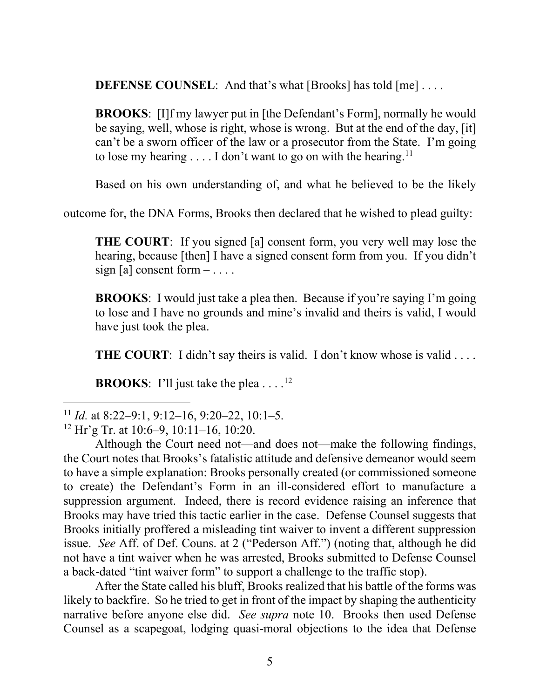**DEFENSE COUNSEL**: And that's what [Brooks] has told [me] . . . .

**BROOKS**: [I]f my lawyer put in [the Defendant's Form], normally he would be saying, well, whose is right, whose is wrong. But at the end of the day, [it] can't be a sworn officer of the law or a prosecutor from the State. I'm going to lose my hearing  $\dots$  I don't want to go on with the hearing.<sup>[11](#page-4-0)</sup>

Based on his own understanding of, and what he believed to be the likely

outcome for, the DNA Forms, Brooks then declared that he wished to plead guilty:

**THE COURT**: If you signed [a] consent form, you very well may lose the hearing, because [then] I have a signed consent form from you. If you didn't sign [a] consent form  $-\dots$ .

**BROOKS**: I would just take a plea then. Because if you're saying I'm going to lose and I have no grounds and mine's invalid and theirs is valid, I would have just took the plea.

**THE COURT:** I didn't say theirs is valid. I don't know whose is valid ....

**BROOKS:** I'll just take the plea  $\dots$ .<sup>12</sup>

After the State called his bluff, Brooks realized that his battle of the forms was likely to backfire. So he tried to get in front of the impact by shaping the authenticity narrative before anyone else did. *See supra* note 10. Brooks then used Defense Counsel as a scapegoat, lodging quasi-moral objections to the idea that Defense

<span id="page-4-0"></span><sup>11</sup> *Id.* at 8:22–9:1, 9:12–16, 9:20–22, 10:1–5.

<span id="page-4-1"></span> $12$  Hr'g Tr. at 10:6–9, 10:11–16, 10:20.

Although the Court need not—and does not—make the following findings, the Court notes that Brooks's fatalistic attitude and defensive demeanor would seem to have a simple explanation: Brooks personally created (or commissioned someone to create) the Defendant's Form in an ill-considered effort to manufacture a suppression argument. Indeed, there is record evidence raising an inference that Brooks may have tried this tactic earlier in the case. Defense Counsel suggests that Brooks initially proffered a misleading tint waiver to invent a different suppression issue. *See* Aff. of Def. Couns. at 2 ("Pederson Aff.") (noting that, although he did not have a tint waiver when he was arrested, Brooks submitted to Defense Counsel a back-dated "tint waiver form" to support a challenge to the traffic stop).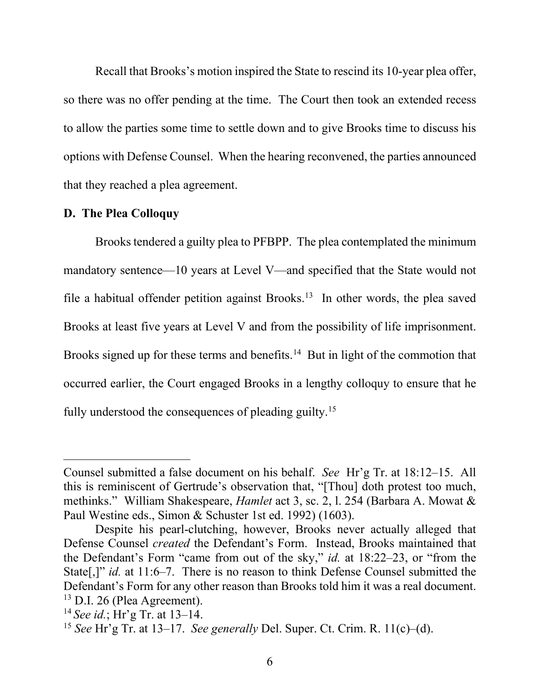Recall that Brooks's motion inspired the State to rescind its 10-year plea offer, so there was no offer pending at the time. The Court then took an extended recess to allow the parties some time to settle down and to give Brooks time to discuss his options with Defense Counsel. When the hearing reconvened, the parties announced that they reached a plea agreement.

#### **D. The Plea Colloquy**

Brooks tendered a guilty plea to PFBPP. The plea contemplated the minimum mandatory sentence—10 years at Level V—and specified that the State would not file a habitual offender petition against Brooks.<sup>[13](#page-5-0)</sup> In other words, the plea saved Brooks at least five years at Level V and from the possibility of life imprisonment. Brooks signed up for these terms and benefits.<sup>14</sup> But in light of the commotion that occurred earlier, the Court engaged Brooks in a lengthy colloquy to ensure that he fully understood the consequences of pleading guilty.<sup>[15](#page-5-2)</sup>

Counsel submitted a false document on his behalf. *See* Hr'g Tr. at 18:12–15. All this is reminiscent of Gertrude's observation that, "[Thou] doth protest too much, methinks." William Shakespeare, *Hamlet* act 3, sc. 2, l. 254 (Barbara A. Mowat & Paul Westine eds., Simon & Schuster 1st ed. 1992) (1603).

Despite his pearl-clutching, however, Brooks never actually alleged that Defense Counsel *created* the Defendant's Form. Instead, Brooks maintained that the Defendant's Form "came from out of the sky," *id.* at 18:22–23, or "from the State[,]" *id.* at 11:6–7. There is no reason to think Defense Counsel submitted the Defendant's Form for any other reason than Brooks told him it was a real document. <sup>13</sup> D.I. 26 (Plea Agreement).

<span id="page-5-1"></span><span id="page-5-0"></span><sup>14</sup> *See id.*; Hr'g Tr. at 13–14.

<span id="page-5-2"></span><sup>15</sup> *See* Hr'g Tr. at 13–17. *See generally* Del. Super. Ct. Crim. R. 11(c)–(d).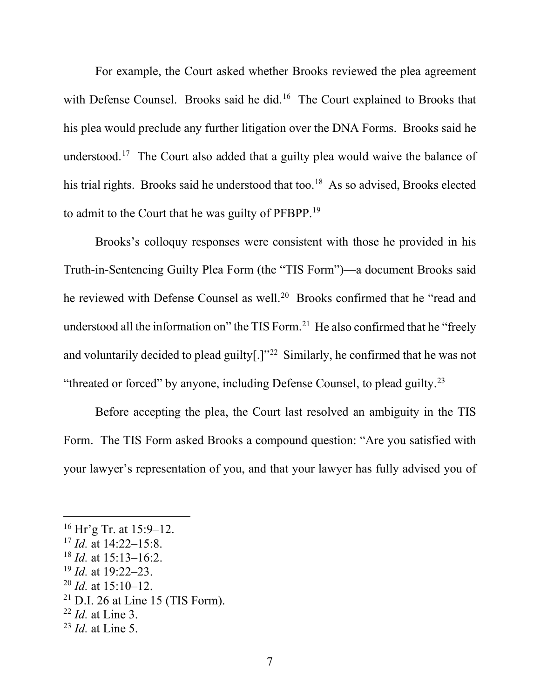For example, the Court asked whether Brooks reviewed the plea agreement with Defense Counsel. Brooks said he did.<sup>16</sup> The Court explained to Brooks that his plea would preclude any further litigation over the DNA Forms. Brooks said he understood.<sup>[17](#page-6-1)</sup> The Court also added that a guilty plea would waive the balance of his trial rights. Brooks said he understood that too.<sup>[18](#page-6-2)</sup> As so advised, Brooks elected to admit to the Court that he was guilty of PFBPP.<sup>[19](#page-6-3)</sup>

Brooks's colloquy responses were consistent with those he provided in his Truth-in-Sentencing Guilty Plea Form (the "TIS Form")—a document Brooks said he reviewed with Defense Counsel as well.<sup>20</sup> Brooks confirmed that he "read and understood all the information on" the TIS Form.<sup>21</sup> He also confirmed that he "freely" and voluntarily decided to plead guilty[.]"[22](#page-6-6) Similarly, he confirmed that he was not "threated or forced" by anyone, including Defense Counsel, to plead guilty.[23](#page-6-7)

Before accepting the plea, the Court last resolved an ambiguity in the TIS Form. The TIS Form asked Brooks a compound question: "Are you satisfied with your lawyer's representation of you, and that your lawyer has fully advised you of

- <span id="page-6-3"></span><sup>19</sup> *Id.* at 19:22–23.
- <span id="page-6-4"></span><sup>20</sup> *Id.* at 15:10–12.
- <span id="page-6-5"></span> $21$  D.I. 26 at Line 15 (TIS Form).
- <span id="page-6-6"></span><sup>22</sup> *Id.* at Line 3.

<span id="page-6-0"></span> $16$  Hr'g Tr. at 15:9–12.

<span id="page-6-1"></span><sup>17</sup> *Id.* at 14:22–15:8.

<span id="page-6-2"></span><sup>18</sup> *Id.* at 15:13–16:2.

<span id="page-6-7"></span><sup>23</sup> *Id.* at Line 5.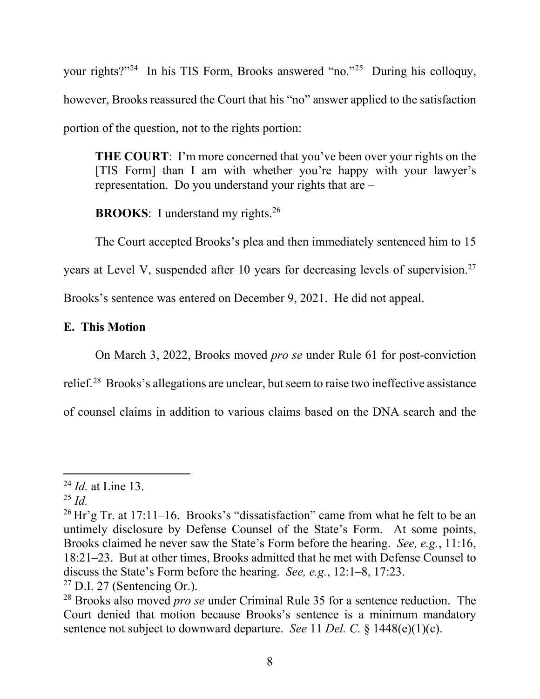your rights?["24](#page-7-0) In his TIS Form, Brooks answered "no."[25](#page-7-1) During his colloquy, however, Brooks reassured the Court that his "no" answer applied to the satisfaction portion of the question, not to the rights portion:

**THE COURT**: I'm more concerned that you've been over your rights on the [TIS Form] than I am with whether you're happy with your lawyer's representation. Do you understand your rights that are –

**BROOKS**: I understand my rights.<sup>[26](#page-7-2)</sup>

The Court accepted Brooks's plea and then immediately sentenced him to 15 years at Level V, suspended after 10 years for decreasing levels of supervision.<sup>[27](#page-7-3)</sup> Brooks's sentence was entered on December 9, 2021. He did not appeal.

# **E. This Motion**

On March 3, 2022, Brooks moved *pro se* under Rule 61 for post-conviction

relief.[28](#page-7-4) Brooks's allegations are unclear, but seem to raise two ineffective assistance

of counsel claims in addition to various claims based on the DNA search and the

<span id="page-7-0"></span><sup>24</sup> *Id.* at Line 13.

<span id="page-7-1"></span><sup>25</sup> *Id.*

<span id="page-7-2"></span><sup>&</sup>lt;sup>26</sup> Hr'g Tr. at 17:11–16. Brooks's "dissatisfaction" came from what he felt to be an untimely disclosure by Defense Counsel of the State's Form. At some points, Brooks claimed he never saw the State's Form before the hearing. *See, e.g.*, 11:16, 18:21–23. But at other times, Brooks admitted that he met with Defense Counsel to discuss the State's Form before the hearing. *See, e.g.*, 12:1–8, 17:23.

<span id="page-7-3"></span> $27$  D.I. 27 (Sentencing Or.).

<span id="page-7-4"></span><sup>28</sup> Brooks also moved *pro se* under Criminal Rule 35 for a sentence reduction. The Court denied that motion because Brooks's sentence is a minimum mandatory sentence not subject to downward departure. *See* 11 *Del. C.* § 1448(e)(1)(c).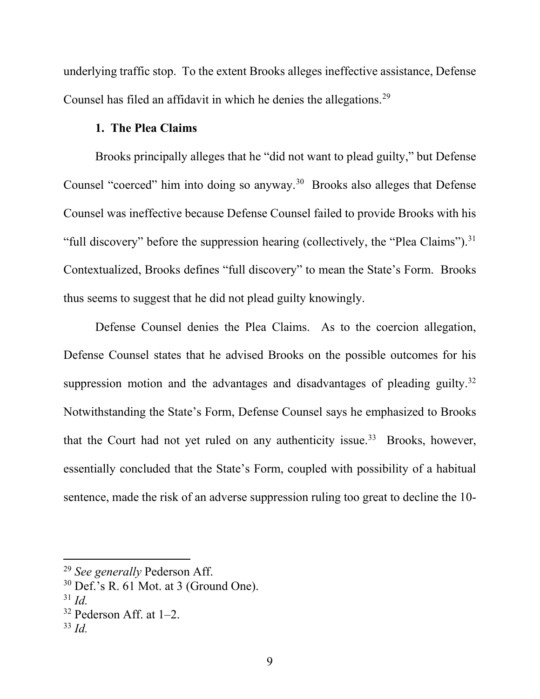underlying traffic stop. To the extent Brooks alleges ineffective assistance, Defense Counsel has filed an affidavit in which he denies the allegations.<sup>[29](#page-8-0)</sup>

### **1. The Plea Claims**

Brooks principally alleges that he "did not want to plead guilty," but Defense Counsel "coerced" him into doing so anyway.<sup>30</sup> Brooks also alleges that Defense Counsel was ineffective because Defense Counsel failed to provide Brooks with his "full discovery" before the suppression hearing (collectively, the "Plea Claims").<sup>[31](#page-8-2)</sup> Contextualized, Brooks defines "full discovery" to mean the State's Form. Brooks thus seems to suggest that he did not plead guilty knowingly.

Defense Counsel denies the Plea Claims. As to the coercion allegation, Defense Counsel states that he advised Brooks on the possible outcomes for his suppression motion and the advantages and disadvantages of pleading guilty.<sup>[32](#page-8-3)</sup> Notwithstanding the State's Form, Defense Counsel says he emphasized to Brooks that the Court had not yet ruled on any authenticity issue.<sup>33</sup> Brooks, however, essentially concluded that the State's Form, coupled with possibility of a habitual sentence, made the risk of an adverse suppression ruling too great to decline the 10-

<span id="page-8-0"></span><sup>29</sup> *See generally* Pederson Aff.

<span id="page-8-1"></span> $30$  Def.'s R. 61 Mot. at 3 (Ground One).

<span id="page-8-2"></span><sup>31</sup> *Id.*

<span id="page-8-3"></span> $32$  Pederson Aff. at 1–2.

<span id="page-8-4"></span><sup>33</sup> *Id.*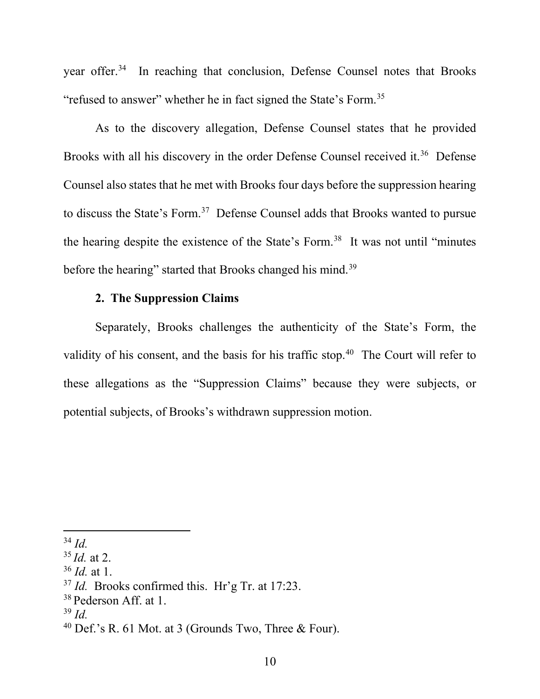year offer.<sup>[34](#page-9-0)</sup> In reaching that conclusion, Defense Counsel notes that Brooks "refused to answer" whether he in fact signed the State's Form[.35](#page-9-1)

As to the discovery allegation, Defense Counsel states that he provided Brooks with all his discovery in the order Defense Counsel received it.<sup>[36](#page-9-2)</sup> Defense Counsel also states that he met with Brooks four days before the suppression hearing to discuss the State's Form.<sup>37</sup> Defense Counsel adds that Brooks wanted to pursue the hearing despite the existence of the State's Form.<sup>38</sup> It was not until "minutes" before the hearing" started that Brooks changed his mind.<sup>[39](#page-9-5)</sup>

# **2. The Suppression Claims**

Separately, Brooks challenges the authenticity of the State's Form, the validity of his consent, and the basis for his traffic stop.<sup>[40](#page-9-6)</sup> The Court will refer to these allegations as the "Suppression Claims" because they were subjects, or potential subjects, of Brooks's withdrawn suppression motion.

<span id="page-9-0"></span><sup>34</sup> *Id.*

<span id="page-9-1"></span><sup>35</sup> *Id.* at 2.

<span id="page-9-2"></span><sup>36</sup> *Id.* at 1.

<span id="page-9-3"></span><sup>&</sup>lt;sup>37</sup> *Id.* Brooks confirmed this. Hr'g Tr. at 17:23.

<span id="page-9-4"></span><sup>&</sup>lt;sup>38</sup> Pederson Aff. at 1.

<span id="page-9-5"></span><sup>39</sup> *Id.*

<span id="page-9-6"></span><sup>&</sup>lt;sup>40</sup> Def.'s R. 61 Mot. at 3 (Grounds Two, Three & Four).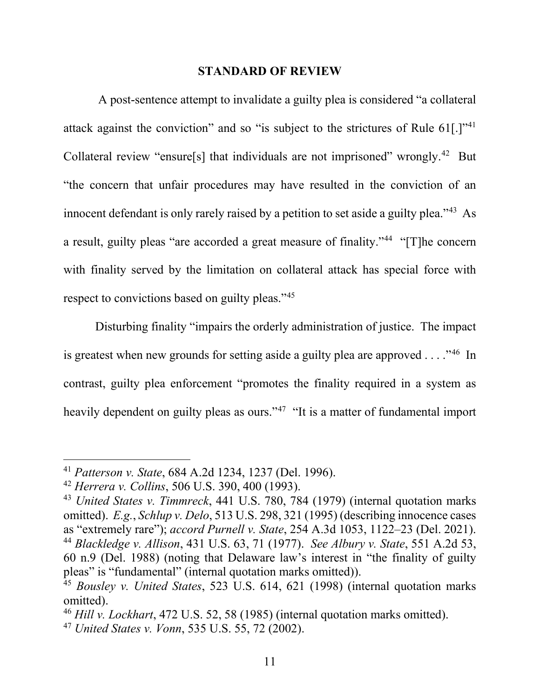#### **STANDARD OF REVIEW**

A post-sentence attempt to invalidate a guilty plea is considered "a collateral attack against the conviction" and so "is subject to the strictures of Rule 61. [1]<sup>1[41](#page-10-0)</sup> Collateral review "ensure[s] that individuals are not imprisoned" wrongly.[42](#page-10-1) But "the concern that unfair procedures may have resulted in the conviction of an innocent defendant is only rarely raised by a petition to set aside a guilty plea."<sup>[43](#page-10-2)</sup> As a result, guilty pleas "are accorded a great measure of finality."<sup>[44](#page-10-3)</sup> "[T]he concern with finality served by the limitation on collateral attack has special force with respect to convictions based on guilty pleas."<sup>45</sup>

Disturbing finality "impairs the orderly administration of justice. The impact is greatest when new grounds for setting aside a guilty plea are approved  $\dots$ ."<sup>46</sup> In contrast, guilty plea enforcement "promotes the finality required in a system as heavily dependent on guilty pleas as ours."<sup>[47](#page-10-6)</sup> "It is a matter of fundamental import

<span id="page-10-0"></span><sup>41</sup> *Patterson v. State*, 684 A.2d 1234, 1237 (Del. 1996).

<span id="page-10-1"></span><sup>42</sup> *Herrera v. Collins*, 506 U.S. 390, 400 (1993).

<span id="page-10-3"></span><span id="page-10-2"></span><sup>43</sup> *United States v. Timmreck*, 441 U.S. 780, 784 (1979) (internal quotation marks omitted). *E.g.*, *Schlup v. Delo*, 513 U.S. 298, 321 (1995) (describing innocence cases as "extremely rare"); *accord Purnell v. State*, 254 A.3d 1053, 1122–23 (Del. 2021). <sup>44</sup> *Blackledge v. Allison*, 431 U.S. 63, 71 (1977). *See Albury v. State*, 551 A.2d 53, 60 n.9 (Del. 1988) (noting that Delaware law's interest in "the finality of guilty pleas" is "fundamental" (internal quotation marks omitted)).

<span id="page-10-4"></span><sup>45</sup> *Bousley v. United States*, 523 U.S. 614, 621 (1998) (internal quotation marks omitted).

<span id="page-10-5"></span><sup>46</sup> *Hill v. Lockhart*, 472 U.S. 52, 58 (1985) (internal quotation marks omitted).

<span id="page-10-6"></span><sup>47</sup> *United States v. Vonn*, 535 U.S. 55, 72 (2002).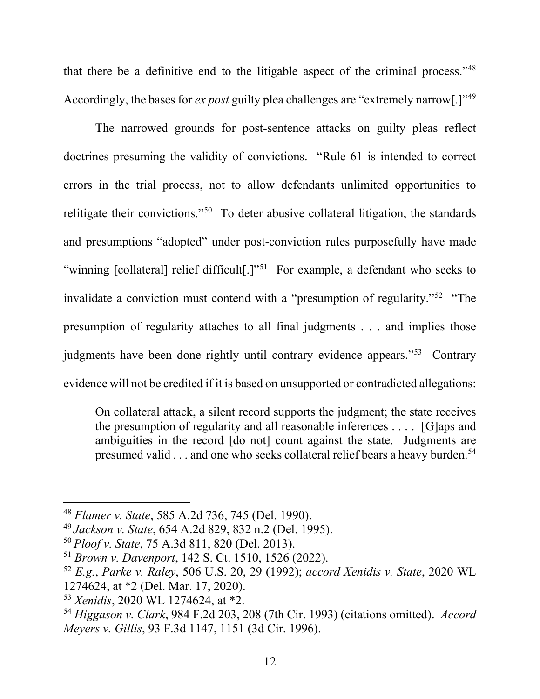that there be a definitive end to the litigable aspect of the criminal process."[48](#page-11-0) Accordingly, the bases for *ex post* guilty plea challenges are "extremely narrow[.]"[49](#page-11-1)

The narrowed grounds for post-sentence attacks on guilty pleas reflect doctrines presuming the validity of convictions. "Rule 61 is intended to correct errors in the trial process, not to allow defendants unlimited opportunities to relitigate their convictions."<sup>50</sup> To deter abusive collateral litigation, the standards and presumptions "adopted" under post-conviction rules purposefully have made "winning [collateral] relief difficult[.]"<sup>51</sup> For example, a defendant who seeks to invalidate a conviction must contend with a "presumption of regularity."<sup>[52](#page-11-4)</sup> "The presumption of regularity attaches to all final judgments . . . and implies those judgments have been done rightly until contrary evidence appears."[53](#page-11-5) Contrary evidence will not be credited if it is based on unsupported or contradicted allegations:

On collateral attack, a silent record supports the judgment; the state receives the presumption of regularity and all reasonable inferences . . . . [G]aps and ambiguities in the record [do not] count against the state. Judgments are presumed valid . . . and one who seeks collateral relief bears a heavy burden.<sup>[54](#page-11-6)</sup>

<span id="page-11-0"></span><sup>48</sup> *Flamer v. State*, 585 A.2d 736, 745 (Del. 1990).

<span id="page-11-1"></span><sup>49</sup> *Jackson v. State*, 654 A.2d 829, 832 n.2 (Del. 1995).

<span id="page-11-2"></span><sup>50</sup> *Ploof v. State*, 75 A.3d 811, 820 (Del. 2013).

<span id="page-11-3"></span><sup>51</sup> *Brown v. Davenport*, 142 S. Ct. 1510, 1526 (2022).

<span id="page-11-4"></span><sup>52</sup> *E.g.*, *Parke v. Raley*, 506 U.S. 20, 29 (1992); *accord Xenidis v. State*, 2020 WL 1274624, at \*2 (Del. Mar. 17, 2020).

<span id="page-11-5"></span><sup>53</sup> *Xenidis*, 2020 WL 1274624, at \*2.

<span id="page-11-6"></span><sup>54</sup> *Higgason v. Clark*, 984 F.2d 203, 208 (7th Cir. 1993) (citations omitted). *Accord Meyers v. Gillis*, 93 F.3d 1147, 1151 (3d Cir. 1996).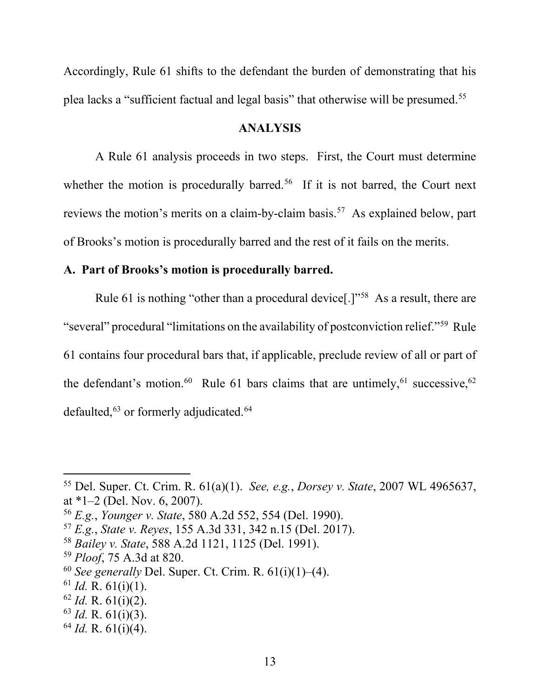Accordingly, Rule 61 shifts to the defendant the burden of demonstrating that his plea lacks a "sufficient factual and legal basis" that otherwise will be presumed.[55](#page-12-0)

### **ANALYSIS**

A Rule 61 analysis proceeds in two steps. First, the Court must determine whether the motion is procedurally barred.<sup>56</sup> If it is not barred, the Court next reviews the motion's merits on a claim-by-claim basis.<sup>[57](#page-12-2)</sup> As explained below, part of Brooks's motion is procedurally barred and the rest of it fails on the merits.

## **A. Part of Brooks's motion is procedurally barred.**

Rule 61 is nothing "other than a procedural device<sup>[1]</sup><sup>[58](#page-12-3)</sup> As a result, there are "several" procedural "limitations on the availability of postconviction relief."[59](#page-12-4) Rule 61 contains four procedural bars that, if applicable, preclude review of all or part of the defendant's motion.<sup>[60](#page-12-5)</sup> Rule [61](#page-12-6) bars claims that are untimely,<sup>61</sup> successive,<sup>[62](#page-12-7)</sup> defaulted,<sup>[63](#page-12-8)</sup> or formerly adjudicated.<sup>[64](#page-12-9)</sup>

<span id="page-12-3"></span><sup>58</sup> *Bailey v. State*, 588 A.2d 1121, 1125 (Del. 1991).

<span id="page-12-6"></span> $61$  *Id.* R.  $61(i)(1)$ .

- <span id="page-12-8"></span><sup>63</sup> *Id.* R. 61(i)(3).
- <span id="page-12-9"></span><sup>64</sup> *Id.* R. 61(i)(4).

<span id="page-12-0"></span><sup>55</sup> Del. Super. Ct. Crim. R. 61(a)(1). *See, e.g.*, *Dorsey v. State*, 2007 WL 4965637, at \*1–2 (Del. Nov. 6, 2007).

<span id="page-12-1"></span><sup>56</sup> *E.g.*, *Younger v. State*, 580 A.2d 552, 554 (Del. 1990).

<span id="page-12-2"></span><sup>57</sup> *E.g.*, *State v. Reyes*, 155 A.3d 331, 342 n.15 (Del. 2017).

<span id="page-12-4"></span><sup>59</sup> *Ploof*, 75 A.3d at 820.

<span id="page-12-5"></span><sup>60</sup> *See generally* Del. Super. Ct. Crim. R. 61(i)(1)–(4).

<span id="page-12-7"></span><sup>62</sup> *Id.* R. 61(i)(2).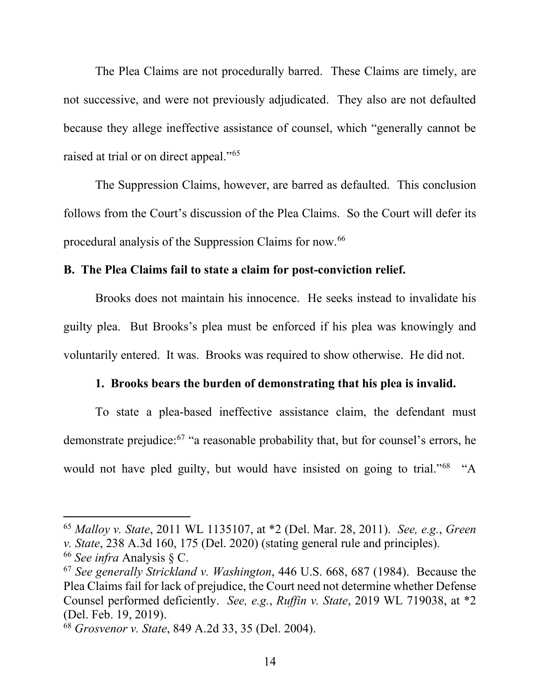The Plea Claims are not procedurally barred. These Claims are timely, are not successive, and were not previously adjudicated. They also are not defaulted because they allege ineffective assistance of counsel, which "generally cannot be raised at trial or on direct appeal."<sup>[65](#page-13-0)</sup>

The Suppression Claims, however, are barred as defaulted. This conclusion follows from the Court's discussion of the Plea Claims. So the Court will defer its procedural analysis of the Suppression Claims for now.<sup>[66](#page-13-1)</sup>

#### **B. The Plea Claims fail to state a claim for post-conviction relief.**

Brooks does not maintain his innocence. He seeks instead to invalidate his guilty plea. But Brooks's plea must be enforced if his plea was knowingly and voluntarily entered. It was. Brooks was required to show otherwise. He did not.

### **1. Brooks bears the burden of demonstrating that his plea is invalid.**

To state a plea-based ineffective assistance claim, the defendant must demonstrate prejudice:[67](#page-13-2) "a reasonable probability that, but for counsel's errors, he would not have pled guilty, but would have insisted on going to trial."<sup>68</sup> "A

<span id="page-13-0"></span><sup>65</sup> *Malloy v. State*, 2011 WL 1135107, at \*2 (Del. Mar. 28, 2011). *See, e.g.*, *Green v. State*, 238 A.3d 160, 175 (Del. 2020) (stating general rule and principles).

<span id="page-13-1"></span><sup>66</sup> *See infra* Analysis § C.

<span id="page-13-2"></span><sup>67</sup> *See generally Strickland v. Washington*, 446 U.S. 668, 687 (1984). Because the Plea Claims fail for lack of prejudice, the Court need not determine whether Defense Counsel performed deficiently. *See, e.g.*, *Ruffin v. State*, 2019 WL 719038, at \*2 (Del. Feb. 19, 2019). 68 *Grosvenor v. State*, 849 A.2d 33, 35 (Del. 2004).

<span id="page-13-3"></span>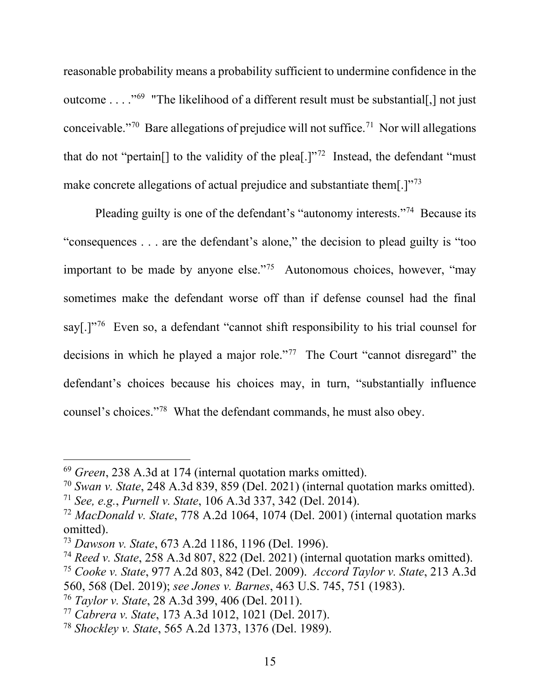reasonable probability means a probability sufficient to undermine confidence in the outcome . . . ."[69](#page-14-0) "The likelihood of a different result must be substantial[,] not just conceivable."<sup>[70](#page-14-1)</sup> Bare allegations of prejudice will not suffice.<sup>[71](#page-14-2)</sup> Nor will allegations that do not "pertain<sup>[]</sup> to the validity of the plea<sup>[1]</sup><sup>,[72](#page-14-3)</sup> Instead, the defendant "must" make concrete allegations of actual prejudice and substantiate them[.]"<sup>[73](#page-14-4)</sup>

Pleading guilty is one of the defendant's "autonomy interests."[74](#page-14-5) Because its "consequences . . . are the defendant's alone," the decision to plead guilty is "too important to be made by anyone else."<sup>[75](#page-14-6)</sup> Autonomous choices, however, "may sometimes make the defendant worse off than if defense counsel had the final say[.]"<sup>[76](#page-14-7)</sup> Even so, a defendant "cannot shift responsibility to his trial counsel for decisions in which he played a major role."[77](#page-14-8) The Court "cannot disregard" the defendant's choices because his choices may, in turn, "substantially influence counsel's choices."[78](#page-14-9) What the defendant commands, he must also obey.

<span id="page-14-0"></span><sup>69</sup> *Green*, 238 A.3d at 174 (internal quotation marks omitted).

<span id="page-14-1"></span><sup>70</sup> *Swan v. State*, 248 A.3d 839, 859 (Del. 2021) (internal quotation marks omitted).

<span id="page-14-2"></span><sup>71</sup> *See, e.g.*, *Purnell v. State*, 106 A.3d 337, 342 (Del. 2014).

<span id="page-14-3"></span><sup>72</sup> *MacDonald v. State*, 778 A.2d 1064, 1074 (Del. 2001) (internal quotation marks omitted).

<span id="page-14-4"></span><sup>73</sup> *Dawson v. State*, 673 A.2d 1186, 1196 (Del. 1996).

<span id="page-14-6"></span><span id="page-14-5"></span><sup>74</sup> *Reed v. State*, 258 A.3d 807, 822 (Del. 2021) (internal quotation marks omitted). 75 *Cooke v. State*, 977 A.2d 803, 842 (Del. 2009). *Accord Taylor v. State*, 213 A.3d 560, 568 (Del. 2019); *see Jones v. Barnes*, 463 U.S. 745, 751 (1983).

<span id="page-14-7"></span><sup>76</sup> *Taylor v. State*, 28 A.3d 399, 406 (Del. 2011).

<span id="page-14-8"></span><sup>77</sup> *Cabrera v. State*, 173 A.3d 1012, 1021 (Del. 2017). 78 *Shockley v. State*, 565 A.2d 1373, 1376 (Del. 1989).

<span id="page-14-9"></span>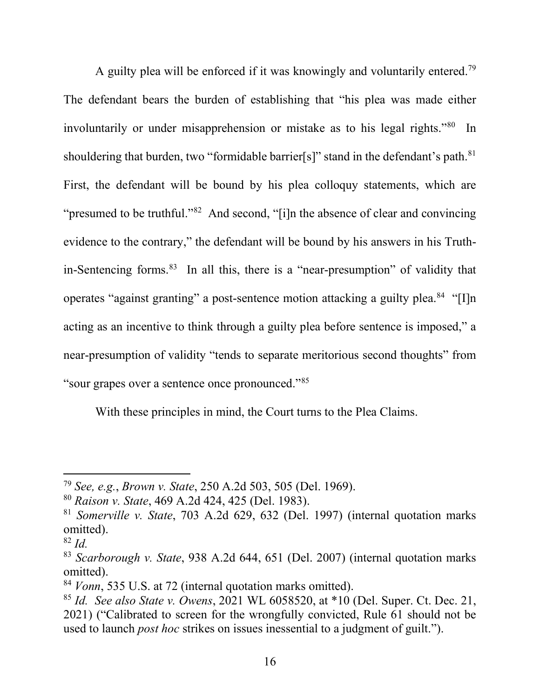A guilty plea will be enforced if it was knowingly and voluntarily entered.<sup>[79](#page-15-0)</sup> The defendant bears the burden of establishing that "his plea was made either involuntarily or under misapprehension or mistake as to his legal rights.<sup>"[80](#page-15-1)</sup> In shouldering that burden, two "formidable barrier[s]" stand in the defendant's path.<sup>[81](#page-15-2)</sup> First, the defendant will be bound by his plea colloquy statements, which are "presumed to be truthful."<sup>82</sup> And second, "[i]n the absence of clear and convincing evidence to the contrary," the defendant will be bound by his answers in his Truthin-Sentencing forms.[83](#page-15-4) In all this, there is a "near-presumption" of validity that operates "against granting" a post-sentence motion attacking a guilty plea.<sup>[84](#page-15-5)</sup> "[I]n acting as an incentive to think through a guilty plea before sentence is imposed," a near-presumption of validity "tends to separate meritorious second thoughts" from "sour grapes over a sentence once pronounced."[85](#page-15-6)

With these principles in mind, the Court turns to the Plea Claims.

<span id="page-15-0"></span><sup>79</sup> *See, e.g.*, *Brown v. State*, 250 A.2d 503, 505 (Del. 1969).

<span id="page-15-1"></span><sup>80</sup> *Raison v. State*, 469 A.2d 424, 425 (Del. 1983).

<span id="page-15-2"></span><sup>81</sup> *Somerville v. State*, 703 A.2d 629, 632 (Del. 1997) (internal quotation marks omitted).

<span id="page-15-3"></span><sup>82</sup> *Id.*

<span id="page-15-4"></span><sup>83</sup> *Scarborough v. State*, 938 A.2d 644, 651 (Del. 2007) (internal quotation marks omitted).

<span id="page-15-5"></span><sup>84</sup> *Vonn*, 535 U.S. at 72 (internal quotation marks omitted).

<span id="page-15-6"></span><sup>85</sup> *Id. See also State v. Owens*, 2021 WL 6058520, at \*10 (Del. Super. Ct. Dec. 21, 2021) ("Calibrated to screen for the wrongfully convicted, Rule 61 should not be used to launch *post hoc* strikes on issues inessential to a judgment of guilt.").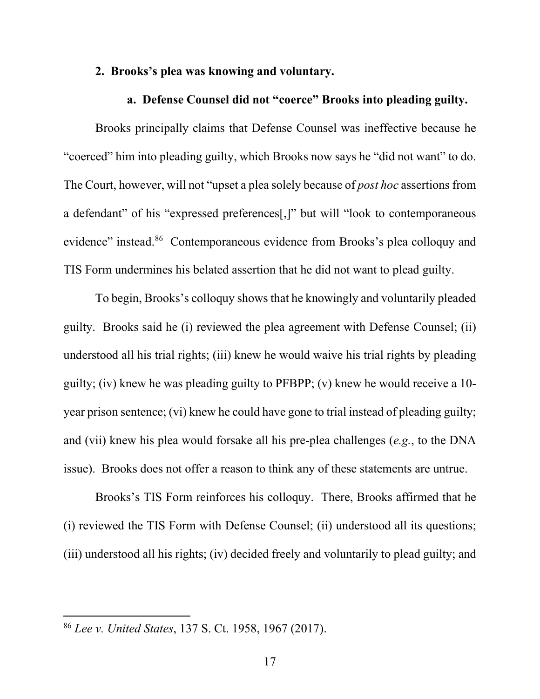### **2. Brooks's plea was knowing and voluntary.**

## **a. Defense Counsel did not "coerce" Brooks into pleading guilty.**

Brooks principally claims that Defense Counsel was ineffective because he "coerced" him into pleading guilty, which Brooks now says he "did not want" to do. The Court, however, will not "upset a plea solely because of *post hoc* assertions from a defendant" of his "expressed preferences[,]" but will "look to contemporaneous evidence" instead.<sup>86</sup> Contemporaneous evidence from Brooks's plea colloquy and TIS Form undermines his belated assertion that he did not want to plead guilty.

To begin, Brooks's colloquy shows that he knowingly and voluntarily pleaded guilty. Brooks said he (i) reviewed the plea agreement with Defense Counsel; (ii) understood all his trial rights; (iii) knew he would waive his trial rights by pleading guilty; (iv) knew he was pleading guilty to PFBPP; (v) knew he would receive a 10 year prison sentence; (vi) knew he could have gone to trial instead of pleading guilty; and (vii) knew his plea would forsake all his pre-plea challenges (*e.g.*, to the DNA issue). Brooks does not offer a reason to think any of these statements are untrue.

Brooks's TIS Form reinforces his colloquy. There, Brooks affirmed that he (i) reviewed the TIS Form with Defense Counsel; (ii) understood all its questions; (iii) understood all his rights; (iv) decided freely and voluntarily to plead guilty; and

<span id="page-16-0"></span><sup>86</sup> *Lee v. United States*, 137 S. Ct. 1958, 1967 (2017).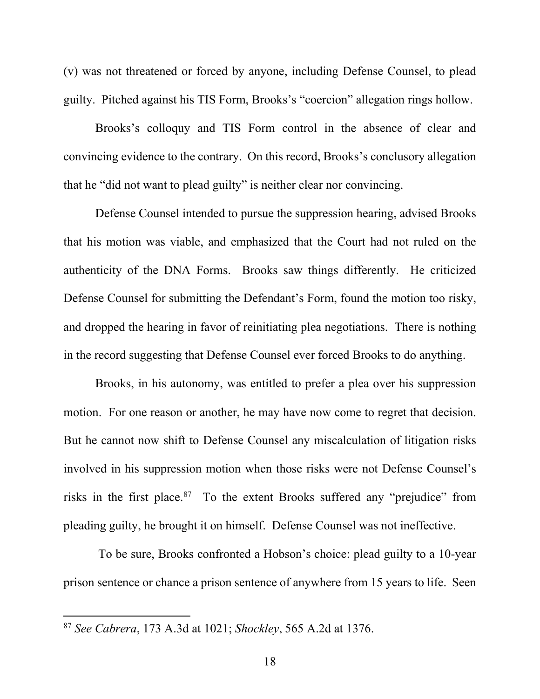(v) was not threatened or forced by anyone, including Defense Counsel, to plead guilty. Pitched against his TIS Form, Brooks's "coercion" allegation rings hollow.

Brooks's colloquy and TIS Form control in the absence of clear and convincing evidence to the contrary. On this record, Brooks's conclusory allegation that he "did not want to plead guilty" is neither clear nor convincing.

Defense Counsel intended to pursue the suppression hearing, advised Brooks that his motion was viable, and emphasized that the Court had not ruled on the authenticity of the DNA Forms. Brooks saw things differently. He criticized Defense Counsel for submitting the Defendant's Form, found the motion too risky, and dropped the hearing in favor of reinitiating plea negotiations. There is nothing in the record suggesting that Defense Counsel ever forced Brooks to do anything.

Brooks, in his autonomy, was entitled to prefer a plea over his suppression motion. For one reason or another, he may have now come to regret that decision. But he cannot now shift to Defense Counsel any miscalculation of litigation risks involved in his suppression motion when those risks were not Defense Counsel's risks in the first place.<sup>[87](#page-17-0)</sup> To the extent Brooks suffered any "prejudice" from pleading guilty, he brought it on himself. Defense Counsel was not ineffective.

To be sure, Brooks confronted a Hobson's choice: plead guilty to a 10-year prison sentence or chance a prison sentence of anywhere from 15 years to life. Seen

<span id="page-17-0"></span><sup>87</sup> *See Cabrera*, 173 A.3d at 1021; *Shockley*, 565 A.2d at 1376.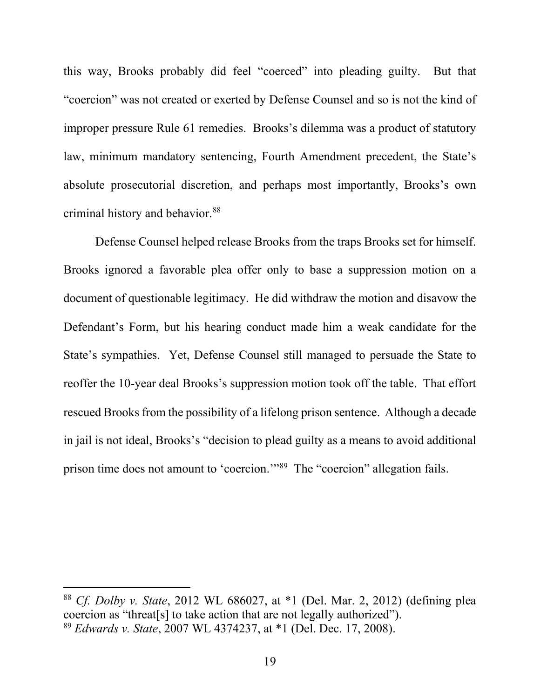this way, Brooks probably did feel "coerced" into pleading guilty. But that "coercion" was not created or exerted by Defense Counsel and so is not the kind of improper pressure Rule 61 remedies. Brooks's dilemma was a product of statutory law, minimum mandatory sentencing, Fourth Amendment precedent, the State's absolute prosecutorial discretion, and perhaps most importantly, Brooks's own criminal history and behavior.<sup>[88](#page-18-0)</sup>

Defense Counsel helped release Brooks from the traps Brooks set for himself. Brooks ignored a favorable plea offer only to base a suppression motion on a document of questionable legitimacy. He did withdraw the motion and disavow the Defendant's Form, but his hearing conduct made him a weak candidate for the State's sympathies. Yet, Defense Counsel still managed to persuade the State to reoffer the 10-year deal Brooks's suppression motion took off the table. That effort rescued Brooks from the possibility of a lifelong prison sentence. Although a decade in jail is not ideal, Brooks's "decision to plead guilty as a means to avoid additional prison time does not amount to 'coercion.'"[89](#page-18-1) The "coercion" allegation fails.

<span id="page-18-1"></span><span id="page-18-0"></span><sup>88</sup> *Cf. Dolby v. State*, 2012 WL 686027, at \*1 (Del. Mar. 2, 2012) (defining plea coercion as "threat[s] to take action that are not legally authorized"). <sup>89</sup> *Edwards v. State*, 2007 WL 4374237, at \*1 (Del. Dec. 17, 2008).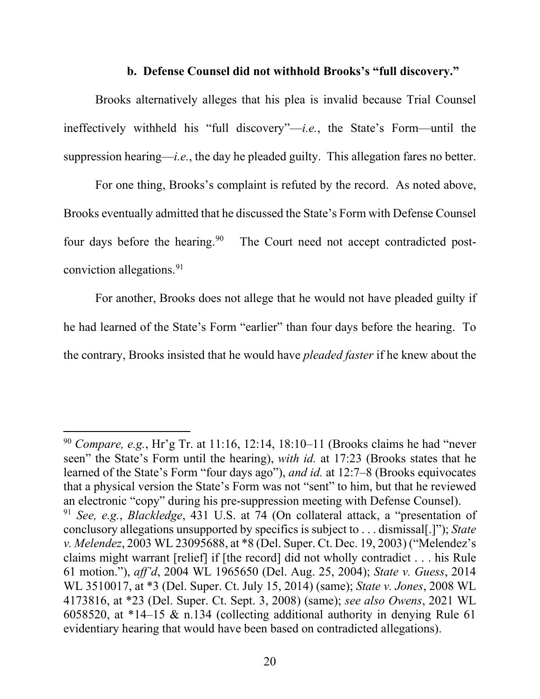### **b. Defense Counsel did not withhold Brooks's "full discovery."**

Brooks alternatively alleges that his plea is invalid because Trial Counsel ineffectively withheld his "full discovery"—*i.e.*, the State's Form—until the suppression hearing—*i.e.*, the day he pleaded guilty. This allegation fares no better.

For one thing, Brooks's complaint is refuted by the record. As noted above, Brooks eventually admitted that he discussed the State's Form with Defense Counsel four days before the hearing.<sup>[90](#page-19-0)</sup> The Court need not accept contradicted postconviction allegations.[91](#page-19-1)

For another, Brooks does not allege that he would not have pleaded guilty if he had learned of the State's Form "earlier" than four days before the hearing. To the contrary, Brooks insisted that he would have *pleaded faster* if he knew about the

<span id="page-19-1"></span><span id="page-19-0"></span><sup>90</sup> *Compare, e.g.*, Hr'g Tr. at 11:16, 12:14, 18:10–11 (Brooks claims he had "never seen" the State's Form until the hearing), *with id.* at 17:23 (Brooks states that he learned of the State's Form "four days ago"), *and id.* at 12:7–8 (Brooks equivocates that a physical version the State's Form was not "sent" to him, but that he reviewed an electronic "copy" during his pre-suppression meeting with Defense Counsel). <sup>91</sup> *See, e.g.*, *Blackledge*, 431 U.S. at 74 (On collateral attack, a "presentation of conclusory allegations unsupported by specifics is subject to . . . dismissal[.]"); *State v. Melendez*, 2003 WL 23095688, at \*8 (Del. Super. Ct. Dec. 19, 2003) ("Melendez's claims might warrant [relief] if [the record] did not wholly contradict . . . his Rule 61 motion."), *aff'd*, 2004 WL 1965650 (Del. Aug. 25, 2004); *State v. Guess*, 2014 WL 3510017, at \*3 (Del. Super. Ct. July 15, 2014) (same); *State v. Jones*, 2008 WL 4173816, at \*23 (Del. Super. Ct. Sept. 3, 2008) (same); *see also Owens*, 2021 WL 6058520, at \*14–15 & n.134 (collecting additional authority in denying Rule 61 evidentiary hearing that would have been based on contradicted allegations).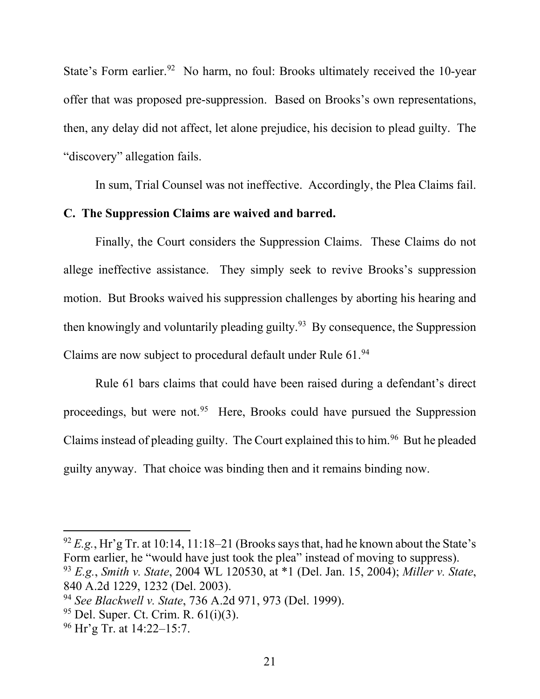State's Form earlier.<sup>92</sup> No harm, no foul: Brooks ultimately received the 10-year offer that was proposed pre-suppression. Based on Brooks's own representations, then, any delay did not affect, let alone prejudice, his decision to plead guilty. The "discovery" allegation fails.

In sum, Trial Counsel was not ineffective. Accordingly, the Plea Claims fail.

## **C. The Suppression Claims are waived and barred.**

Finally, the Court considers the Suppression Claims. These Claims do not allege ineffective assistance. They simply seek to revive Brooks's suppression motion. But Brooks waived his suppression challenges by aborting his hearing and then knowingly and voluntarily pleading guilty.<sup>[93](#page-20-1)</sup> By consequence, the Suppression Claims are now subject to procedural default under Rule 61.[94](#page-20-2)

Rule 61 bars claims that could have been raised during a defendant's direct proceedings, but were not.<sup>[95](#page-20-3)</sup> Here, Brooks could have pursued the Suppression Claims instead of pleading guilty. The Court explained this to him.<sup>96</sup> But he pleaded guilty anyway. That choice was binding then and it remains binding now.

<span id="page-20-0"></span> $92 E.g., Hr'g$  Tr. at 10:14, 11:18–21 (Brooks says that, had he known about the State's Form earlier, he "would have just took the plea" instead of moving to suppress). <sup>93</sup> *E.g.*, *Smith v. State*, 2004 WL 120530, at \*1 (Del. Jan. 15, 2004); *Miller v. State*,

<span id="page-20-1"></span><sup>840</sup> A.2d 1229, 1232 (Del. 2003).

<span id="page-20-2"></span><sup>94</sup> *See Blackwell v. State*, 736 A.2d 971, 973 (Del. 1999).

<span id="page-20-3"></span> $95$  Del. Super. Ct. Crim. R.  $61(i)(3)$ .

<span id="page-20-4"></span><sup>96</sup> Hr'g Tr. at 14:22–15:7.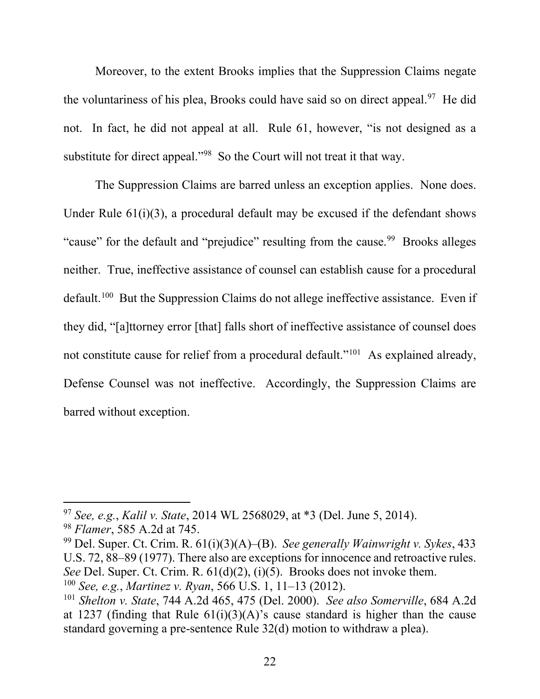Moreover, to the extent Brooks implies that the Suppression Claims negate the voluntariness of his plea, Brooks could have said so on direct appeal.<sup>[97](#page-21-0)</sup> He did not. In fact, he did not appeal at all. Rule 61, however, "is not designed as a substitute for direct appeal."<sup>[98](#page-21-1)</sup> So the Court will not treat it that way.

The Suppression Claims are barred unless an exception applies. None does. Under Rule 61(i)(3), a procedural default may be excused if the defendant shows "cause" for the default and "prejudice" resulting from the cause.<sup>[99](#page-21-2)</sup> Brooks alleges neither. True, ineffective assistance of counsel can establish cause for a procedural default.<sup>[100](#page-21-3)</sup> But the Suppression Claims do not allege ineffective assistance. Even if they did, "[a]ttorney error [that] falls short of ineffective assistance of counsel does not constitute cause for relief from a procedural default."[101](#page-21-4) As explained already, Defense Counsel was not ineffective. Accordingly, the Suppression Claims are barred without exception.

<span id="page-21-0"></span><sup>97</sup> *See, e.g.*, *Kalil v. State*, 2014 WL 2568029, at \*3 (Del. June 5, 2014).

<span id="page-21-1"></span><sup>98</sup> *Flamer*, 585 A.2d at 745.

<span id="page-21-2"></span><sup>99</sup> Del. Super. Ct. Crim. R. 61(i)(3)(A)–(B). *See generally Wainwright v. Sykes*, 433 U.S. 72, 88–89 (1977). There also are exceptions for innocence and retroactive rules. *See* Del. Super. Ct. Crim. R. 61(d)(2), (i)(5). Brooks does not invoke them. <sup>100</sup> *See, e.g.*, *Martinez v. Ryan*, 566 U.S. 1, 11–13 (2012).

<span id="page-21-4"></span><span id="page-21-3"></span><sup>101</sup> *Shelton v. State*, 744 A.2d 465, 475 (Del. 2000). *See also Somerville*, 684 A.2d at 1237 (finding that Rule  $61(i)(3)(A)$ 's cause standard is higher than the cause standard governing a pre-sentence Rule 32(d) motion to withdraw a plea).